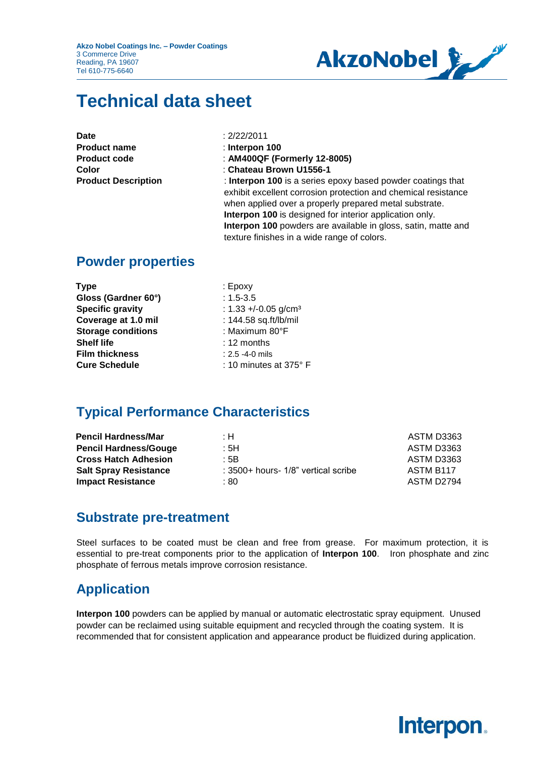**Akzo Nobel Coatings Inc. – Powder Coatings** 3 Commerce Drive Reading, PA 19607 Tel 610-775-6640



# **Technical data sheet**

| Date                       |
|----------------------------|
| <b>Product name</b>        |
| <b>Product code</b>        |
| Color                      |
| <b>Product Description</b> |

**Date** : 2/22/2011

- **Product name** : **Interpon 100**
- **Product code** : **AM400QF (Formerly 12-8005)**
- **Color** : **Chateau Brown U1556-1**

**Product Description 100** is a series epoxy based powder coatings that exhibit excellent corrosion protection and chemical resistance when applied over a properly prepared metal substrate. **Interpon 100** is designed for interior application only. **Interpon 100** powders are available in gloss, satin, matte and texture finishes in a wide range of colors.

#### **Powder properties**

| <b>Type</b>               | $: E$ poxy                        |
|---------------------------|-----------------------------------|
| Gloss (Gardner 60°)       | $: 1.5 - 3.5$                     |
| <b>Specific gravity</b>   | : $1.33 + 0.05$ g/cm <sup>3</sup> |
| Coverage at 1.0 mil       | : 144.58 sq.ft/lb/mil             |
| <b>Storage conditions</b> | : Maximum 80°F                    |
| <b>Shelf life</b>         | $: 12$ months                     |
| <b>Film thickness</b>     | $: 2.5 - 4 - 0$ mils              |
| <b>Cure Schedule</b>      | : 10 minutes at $375^{\circ}$ F   |
|                           |                                   |

#### **Typical Performance Characteristics**

| : H                                 | ASTM D3363 |
|-------------------------------------|------------|
| ∴5H                                 | ASTM D3363 |
| : 5B                                | ASTM D3363 |
| : 3500+ hours- 1/8" vertical scribe | ASTM B117  |
| : 80                                | ASTM D2794 |
|                                     |            |

#### **Substrate pre-treatment**

Steel surfaces to be coated must be clean and free from grease. For maximum protection, it is essential to pre-treat components prior to the application of **Interpon 100**. Iron phosphate and zinc phosphate of ferrous metals improve corrosion resistance.

### **Application**

**Interpon 100** powders can be applied by manual or automatic electrostatic spray equipment. Unused powder can be reclaimed using suitable equipment and recycled through the coating system. It is recommended that for consistent application and appearance product be fluidized during application.